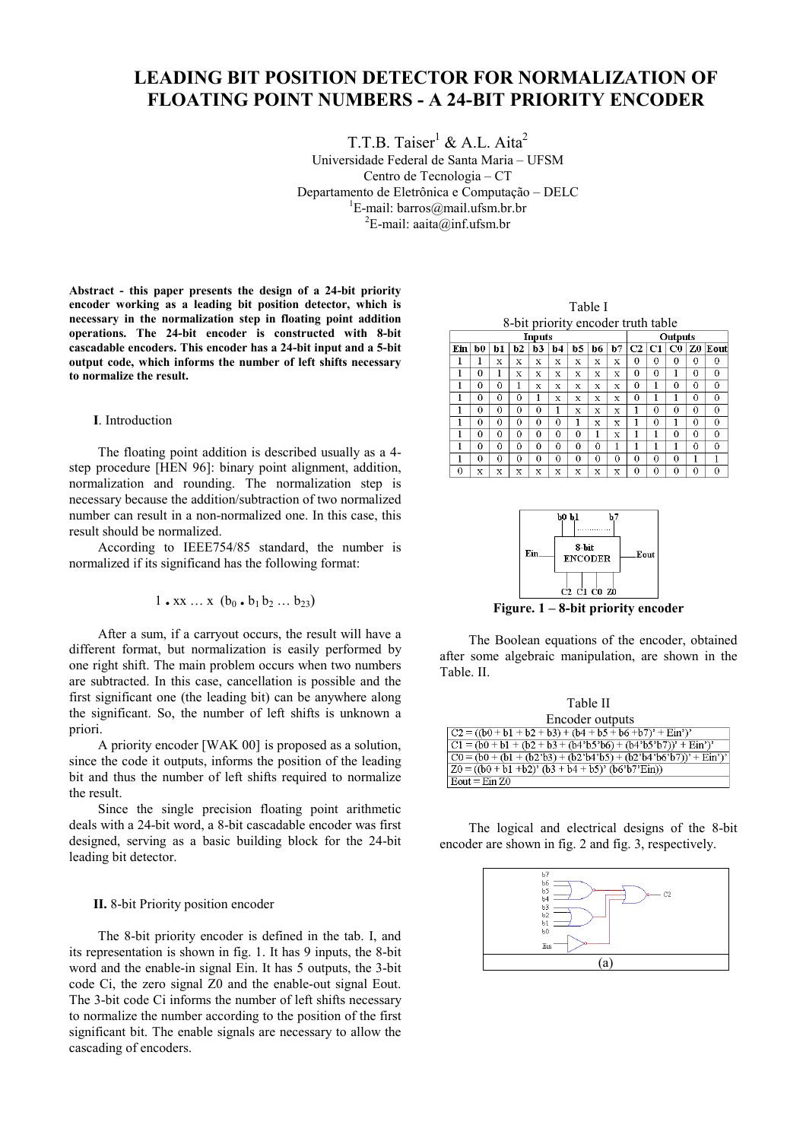# **LEADING BIT POSITION DETECTOR FOR NORMALIZATION OF FLOATING POINT NUMBERS - A 24-BIT PRIORITY ENCODER**

T.T.B. Taiser<sup>1</sup> & A.L. Aita<sup>2</sup> Universidade Federal de Santa Maria – UFSM Centro de Tecnologia – CT Departamento de Eletrônica e Computação – DELC 1 <sup>1</sup>E-mail: barros@mail.ufsm.br.br  ${}^{2}E$ -mail: aaita@inf.ufsm.br

**Abstract - this paper presents the design of a 24-bit priority encoder working as a leading bit position detector, which is necessary in the normalization step in floating point addition operations. The 24-bit encoder is constructed with 8-bit cascadable encoders. This encoder has a 24-bit input and a 5-bit output code, which informs the number of left shifts necessary to normalize the result.** 

## **I**. Introduction

The floating point addition is described usually as a 4 step procedure [HEN 96]: binary point alignment, addition, normalization and rounding. The normalization step is necessary because the addition/subtraction of two normalized number can result in a non-normalized one. In this case, this result should be normalized.

According to IEEE754/85 standard, the number is normalized if its significand has the following format:

$$
1 \cdot xx \ldots x \cdot (b_0 \cdot b_1 b_2 \ldots b_{23})
$$

After a sum, if a carryout occurs, the result will have a different format, but normalization is easily performed by one right shift. The main problem occurs when two numbers are subtracted. In this case, cancellation is possible and the first significant one (the leading bit) can be anywhere along the significant. So, the number of left shifts is unknown a priori.

A priority encoder [WAK 00] is proposed as a solution, since the code it outputs, informs the position of the leading bit and thus the number of left shifts required to normalize the result.

Since the single precision floating point arithmetic deals with a 24-bit word, a 8-bit cascadable encoder was first designed, serving as a basic building block for the 24-bit leading bit detector.

## **II.** 8-bit Priority position encoder

The 8-bit priority encoder is defined in the tab. I, and its representation is shown in fig. 1. It has 9 inputs, the 8-bit word and the enable-in signal Ein. It has 5 outputs, the 3-bit code Ci, the zero signal Z0 and the enable-out signal Eout. The 3-bit code Ci informs the number of left shifts necessary to normalize the number according to the position of the first significant bit. The enable signals are necessary to allow the cascading of encoders.

Table I 8-bit priority encoder truth table

|     | Inputs         |    |          |          |          |    |          |    | <b>Outputs</b> |             |                 |          |         |
|-----|----------------|----|----------|----------|----------|----|----------|----|----------------|-------------|-----------------|----------|---------|
| Ein | b <sub>0</sub> | b1 | b2       | b3       | b4       | b5 | bб       | b7 | C2             | $_{\rm C1}$ | CO <sub>1</sub> |          | Z0 Eout |
|     |                | x  | X        | x        | X        | X  | X        | X  | 0              | 0           | 0               | 0        | 0       |
| 1   | 0              | 1  | x        | x        | X        | x  | x        | x  | 0              | 0           | 1               | $\theta$ | 0       |
| 1   | 0              | 0  | 1        | x        | X        | x  | X        | x  | 0              | 1           | 0               | 0        | 0       |
|     | 0              | 0  | 0        |          | X        | x  | X        | X  | 0              |             |                 | $\Omega$ | 0       |
|     | 0              | 0  | $\theta$ | 0        |          | X  | X        | X  | 1              | 0           | $\theta$        | 0        | 0       |
|     | 0              | 0  | 0        | 0        | 0        |    | X        | X  | 1              | 0           |                 | 0        | 0       |
|     | 0              | 0  | 0        | 0        | 0        | 0  |          | X  | 1              |             | 0               | $\theta$ | 0       |
|     | 0              | 0  | 0        | 0        | 0        | 0  | 0        |    | 1              | 1           | 1               | $\Omega$ | 0       |
|     | 0              | 0  | 0        | $\Omega$ | $\theta$ | 0  | $\theta$ | 0  | $\theta$       | 0           | 0               |          |         |
| 0   | X              | X  | X        | x        | X        | x  | X        | X  | 0              | 0           | 0               | 0        | 0       |



**Figure. 1 – 8-bit priority encoder** 

The Boolean equations of the encoder, obtained after some algebraic manipulation, are shown in the Table. II.

| Table II                                                                                 |
|------------------------------------------------------------------------------------------|
| Encoder outputs                                                                          |
| $C2 = ((b0 + b1 + b2 + b3) + (b4 + b5 + b6 + b7) + Ein')'$                               |
| $CI = (b0 + b1 + (b2 + b3 + (b4^{3}b5^{3}b6) + (b4^{3}b5^{3}b7))^{3} + Ein$ <sup>3</sup> |
| $CO = (b0 + (b1 + (b2bb3) + (b2bb4bb5) + (b2bb4bb6bb7))b + Einb)'$                       |
| $Z0 = ((b0 + b1 + b2)' (b3 + b4 + b5)' (b6'b7'Ein))$                                     |
| $Eout = Ein Z0$                                                                          |

The logical and electrical designs of the 8-bit encoder are shown in fig. 2 and fig. 3, respectively.

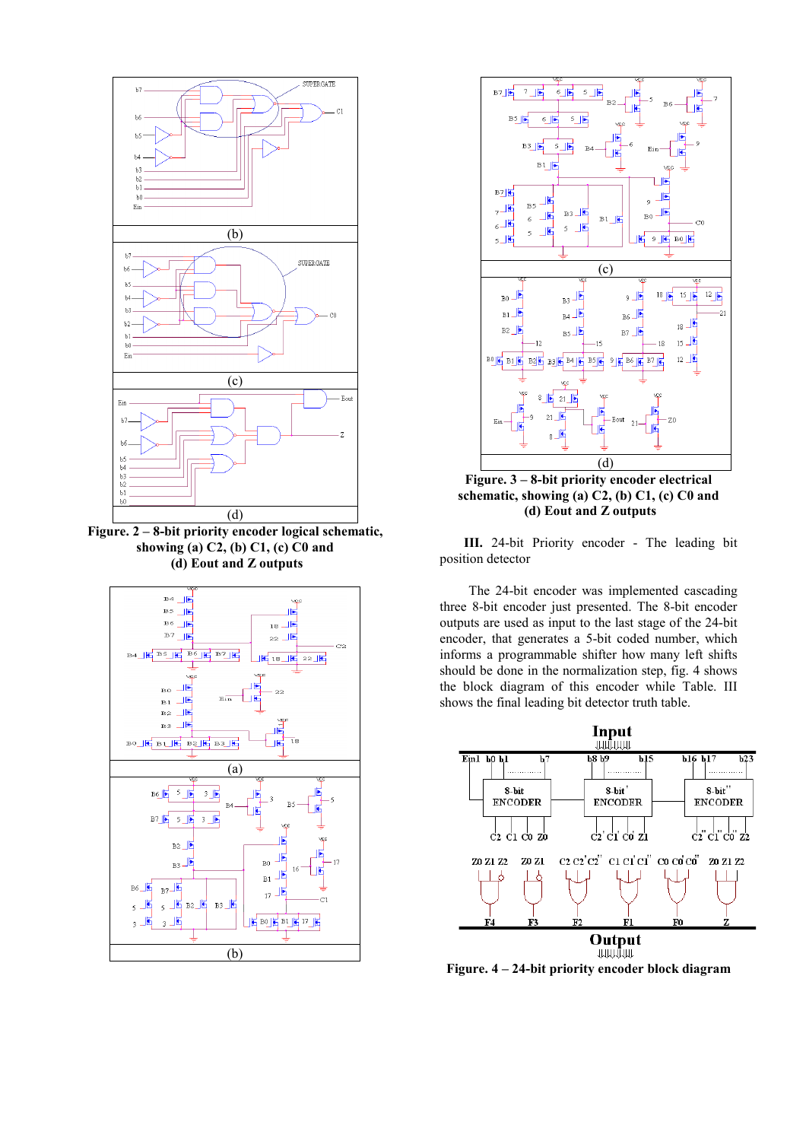

**Figure. 2 – 8-bit priority encoder logical schematic, showing (a) C2, (b) C1, (c) C0 and (d) Eout and Z outputs** 





**Figure. 3 – 8-bit priority encoder electrical schematic, showing (a) C2, (b) C1, (c) C0 and (d) Eout and Z outputs** 

**III.** 24-bit Priority encoder - The leading bit position detector

The 24-bit encoder was implemented cascading three 8-bit encoder just presented. The 8-bit encoder outputs are used as input to the last stage of the 24-bit encoder, that generates a 5-bit coded number, which informs a programmable shifter how many left shifts should be done in the normalization step, fig. 4 shows the block diagram of this encoder while Table. III shows the final leading bit detector truth table.



**Figure. 4 – 24-bit priority encoder block diagram**